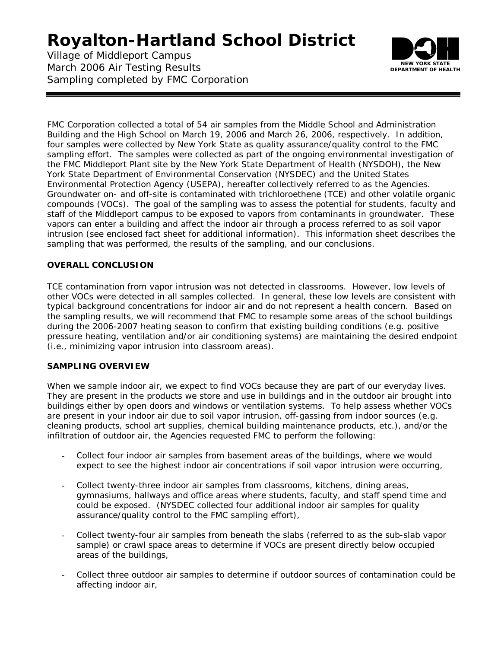Village of Middleport Campus March 2006 Air Testing Results Sampling completed by FMC Corporation



FMC Corporation collected a total of 54 air samples from the Middle School and Administration Building and the High School on March 19, 2006 and March 26, 2006, respectively. In addition, four samples were collected by New York State as quality assurance/quality control to the FMC sampling effort. The samples were collected as part of the ongoing environmental investigation of the FMC Middleport Plant site by the New York State Department of Health (NYSDOH), the New York State Department of Environmental Conservation (NYSDEC) and the United States Environmental Protection Agency (USEPA), hereafter collectively referred to as the Agencies. Groundwater on- and off-site is contaminated with trichloroethene (TCE) and other volatile organic compounds (VOCs). The goal of the sampling was to assess the potential for students, faculty and staff of the Middleport campus to be exposed to vapors from contaminants in groundwater. These vapors can enter a building and affect the indoor air through a process referred to as soil vapor intrusion (see enclosed fact sheet for additional information). This information sheet describes the sampling that was performed, the results of the sampling, and our conclusions.

### **OVERALL CONCLUSION**

TCE contamination from vapor intrusion was not detected in classrooms. However, low levels of other VOCs were detected in all samples collected. In general, these low levels are consistent with typical background concentrations for indoor air and do not represent a health concern. Based on the sampling results, we will recommend that FMC to resample some areas of the school buildings during the 2006-2007 heating season to confirm that existing building conditions (e.g. positive pressure heating, ventilation and/or air conditioning systems) are maintaining the desired endpoint (i.e., minimizing vapor intrusion into classroom areas).

### **SAMPLING OVERVIEW**

When we sample indoor air, we expect to find VOCs because they are part of our everyday lives. They are present in the products we store and use in buildings and in the outdoor air brought into buildings either by open doors and windows or ventilation systems. To help assess whether VOCs are present in your indoor air due to soil vapor intrusion, off-gassing from indoor sources (e.g. cleaning products, school art supplies, chemical building maintenance products, etc.), and/or the infiltration of outdoor air, the Agencies requested FMC to perform the following:

- Collect four indoor air samples from basement areas of the buildings, where we would expect to see the highest indoor air concentrations if soil vapor intrusion were occurring,
- Collect twenty-three indoor air samples from classrooms, kitchens, dining areas, gymnasiums, hallways and office areas where students, faculty, and staff spend time and could be exposed. (NYSDEC collected four additional indoor air samples for quality assurance/quality control to the FMC sampling effort),
- Collect twenty-four air samples from beneath the slabs (referred to as the sub-slab vapor sample) or crawl space areas to determine if VOCs are present directly below occupied areas of the buildings,
- Collect three outdoor air samples to determine if outdoor sources of contamination could be affecting indoor air,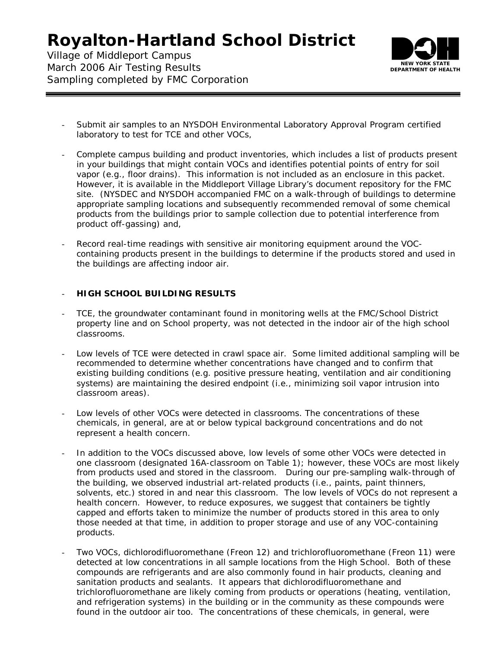Village of Middleport Campus March 2006 Air Testing Results Sampling completed by FMC Corporation



- Submit air samples to an NYSDOH Environmental Laboratory Approval Program certified laboratory to test for TCE and other VOCs,
- Complete campus building and product inventories, which includes a list of products present in your buildings that might contain VOCs and identifies potential points of entry for soil vapor (e.g., floor drains). This information is not included as an enclosure in this packet. However, it is available in the Middleport Village Library's document repository for the FMC site. (NYSDEC and NYSDOH accompanied FMC on a walk-through of buildings to determine appropriate sampling locations and subsequently recommended removal of some chemical products from the buildings prior to sample collection due to potential interference from product off-gassing) and,
- Record real-time readings with sensitive air monitoring equipment around the VOCcontaining products present in the buildings to determine if the products stored and used in the buildings are affecting indoor air.

#### - **HIGH SCHOOL BUILDING RESULTS**

- TCE, the groundwater contaminant found in monitoring wells at the FMC/School District property line and on School property, was not detected in the indoor air of the high school classrooms.
- Low levels of TCE were detected in crawl space air. Some limited additional sampling will be recommended to determine whether concentrations have changed and to confirm that existing building conditions (e.g. positive pressure heating, ventilation and air conditioning systems) are maintaining the desired endpoint (i.e., minimizing soil vapor intrusion into classroom areas).
- Low levels of other VOCs were detected in classrooms. The concentrations of these chemicals, in general, are at or below typical background concentrations and do not represent a health concern.
- In addition to the VOCs discussed above, low levels of some other VOCs were detected in one classroom (designated 16A-classroom on Table 1); however, these VOCs are most likely from products used and stored in the classroom. During our pre-sampling walk-through of the building, we observed industrial art-related products (i.e., paints, paint thinners, solvents, etc.) stored in and near this classroom. The low levels of VOCs do not represent a health concern. However, to reduce exposures, we suggest that containers be tightly capped and efforts taken to minimize the number of products stored in this area to only those needed at that time, in addition to proper storage and use of any VOC-containing products.
- Two VOCs, dichlorodifluoromethane (Freon 12) and trichlorofluoromethane (Freon 11) were detected at low concentrations in all sample locations from the High School. Both of these compounds are refrigerants and are also commonly found in hair products, cleaning and sanitation products and sealants. It appears that dichlorodifluoromethane and trichlorofluoromethane are likely coming from products or operations (heating, ventilation, and refrigeration systems) in the building or in the community as these compounds were found in the outdoor air too. The concentrations of these chemicals, in general, were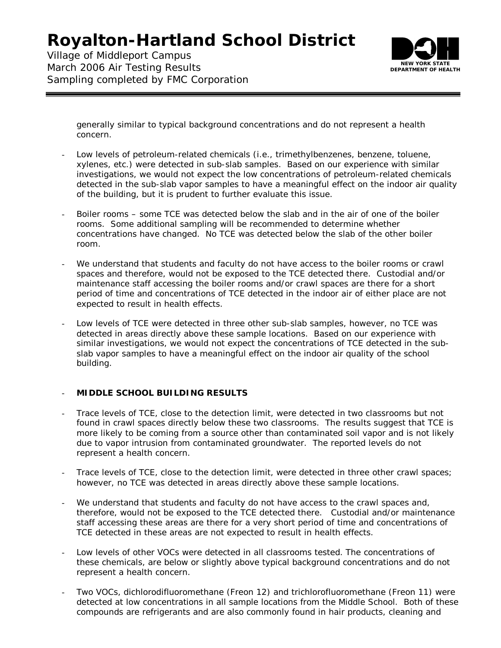Village of Middleport Campus March 2006 Air Testing Results Sampling completed by FMC Corporation



generally similar to typical background concentrations and do not represent a health concern.

- Low levels of petroleum-related chemicals (i.e., trimethylbenzenes, benzene, toluene, xylenes, etc.) were detected in sub-slab samples. Based on our experience with similar investigations, we would not expect the low concentrations of petroleum-related chemicals detected in the sub-slab vapor samples to have a meaningful effect on the indoor air quality of the building, but it is prudent to further evaluate this issue.
- Boiler rooms some TCE was detected below the slab and in the air of one of the boiler rooms. Some additional sampling will be recommended to determine whether concentrations have changed. No TCE was detected below the slab of the other boiler room.
- We understand that students and faculty do not have access to the boiler rooms or crawl spaces and therefore, would not be exposed to the TCE detected there. Custodial and/or maintenance staff accessing the boiler rooms and/or crawl spaces are there for a short period of time and concentrations of TCE detected in the indoor air of either place are not expected to result in health effects.
- Low levels of TCE were detected in three other sub-slab samples, however, no TCE was detected in areas directly above these sample locations. Based on our experience with similar investigations, we would not expect the concentrations of TCE detected in the subslab vapor samples to have a meaningful effect on the indoor air quality of the school building.

#### - **MIDDLE SCHOOL BUILDING RESULTS**

- Trace levels of TCE, close to the detection limit, were detected in two classrooms but not found in crawl spaces directly below these two classrooms. The results suggest that TCE is more likely to be coming from a source other than contaminated soil vapor and is not likely due to vapor intrusion from contaminated groundwater. The reported levels do not represent a health concern.
- Trace levels of TCE, close to the detection limit, were detected in three other crawl spaces; however, no TCE was detected in areas directly above these sample locations.
- We understand that students and faculty do not have access to the crawl spaces and, therefore, would not be exposed to the TCE detected there. Custodial and/or maintenance staff accessing these areas are there for a very short period of time and concentrations of TCE detected in these areas are not expected to result in health effects.
- Low levels of other VOCs were detected in all classrooms tested. The concentrations of these chemicals, are below or slightly above typical background concentrations and do not represent a health concern.
- Two VOCs, dichlorodifluoromethane (Freon 12) and trichlorofluoromethane (Freon 11) were detected at low concentrations in all sample locations from the Middle School. Both of these compounds are refrigerants and are also commonly found in hair products, cleaning and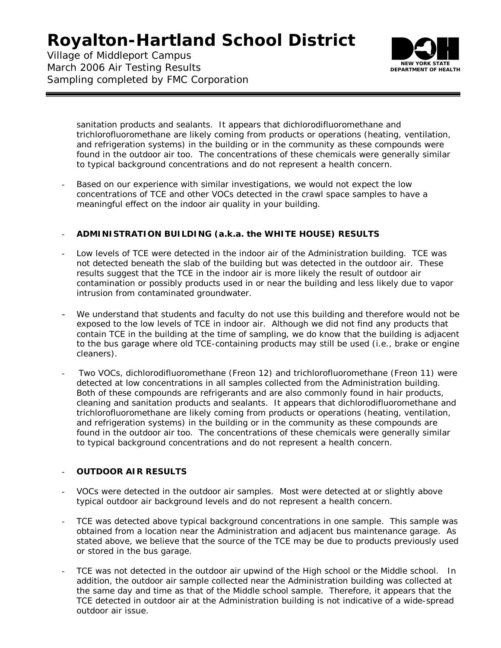Village of Middleport Campus March 2006 Air Testing Results Sampling completed by FMC Corporation



sanitation products and sealants. It appears that dichlorodifluoromethane and trichlorofluoromethane are likely coming from products or operations (heating, ventilation, and refrigeration systems) in the building or in the community as these compounds were found in the outdoor air too. The concentrations of these chemicals were generally similar to typical background concentrations and do not represent a health concern.

Based on our experience with similar investigations, we would not expect the low concentrations of TCE and other VOCs detected in the crawl space samples to have a meaningful effect on the indoor air quality in your building.

### - **ADMINISTRATION BUILDING (a.k.a. the WHITE HOUSE) RESULTS**

- Low levels of TCE were detected in the indoor air of the Administration building. TCE was not detected beneath the slab of the building but was detected in the outdoor air. These results suggest that the TCE in the indoor air is more likely the result of outdoor air contamination or possibly products used in or near the building and less likely due to vapor intrusion from contaminated groundwater.
- We understand that students and faculty do not use this building and therefore would not be exposed to the low levels of TCE in indoor air. Although we did not find any products that contain TCE in the building at the time of sampling, we do know that the building is adjacent to the bus garage where old TCE-containing products may still be used (i.e., brake or engine cleaners).
- Two VOCs, dichlorodifluoromethane (Freon 12) and trichlorofluoromethane (Freon 11) were detected at low concentrations in all samples collected from the Administration building. Both of these compounds are refrigerants and are also commonly found in hair products, cleaning and sanitation products and sealants. It appears that dichlorodifluoromethane and trichlorofluoromethane are likely coming from products or operations (heating, ventilation, and refrigeration systems) in the building or in the community as these compounds are found in the outdoor air too. The concentrations of these chemicals were generally similar to typical background concentrations and do not represent a health concern.

### - **OUTDOOR AIR RESULTS**

- VOCs were detected in the outdoor air samples. Most were detected at or slightly above typical outdoor air background levels and do not represent a health concern.
- TCE was detected above typical background concentrations in one sample. This sample was obtained from a location near the Administration and adjacent bus maintenance garage. As stated above, we believe that the source of the TCE may be due to products previously used or stored in the bus garage.
- TCE was not detected in the outdoor air upwind of the High school or the Middle school. In addition, the outdoor air sample collected near the Administration building was collected at the same day and time as that of the Middle school sample. Therefore, it appears that the TCE detected in outdoor air at the Administration building is not indicative of a wide-spread outdoor air issue.